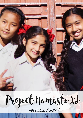Project Namaste XI

11th Edition [ 2017 ]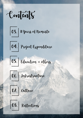

- 03. Il years of Namaste
- 04. Project Expenditure
- 05. Education + others



06. Inbrastructure





08. Reflections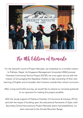

### The 11th, Edition of namaste

For the eleventh round of Project Namaste, we embarked on a humble mission to Pokhara, Nepal. As Singapore Management University's (SMU) pioneer Overseas Community Service Project (OCSP), we once again set out with the mission of encouraging the Nepalese children to take ownership of their own learning of English and to broaden their horizons outside their school curriculum.

After a long and fruitful journey, we would like to extend our sincerest gratitude to our sponsors for making this project possible.

With the sturdy support of Pokhara Chamber of Commerce & Industry, (PCCI), and with the hopes of building upon the educational framework of Gyan Jothi Secondary School that previous Project Namaste teams had established, our team returned to the Armala Mountain Range.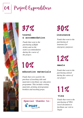# 04. Project Expenditure





**travel & accommodation**

*Funds that went to the purchasing of flight tickets and on the team's accommodation during the course of the project.*

## 30%

#### **insurance**

*Funds that went to the purchasing of insurance for emergency purposes*

12%

**meals**

*Funds that went to the purchasing of food during the course of our project* 

# 11%

### **visa**

*Funds that went to the purchasing of VISA travel document to facilitate our visit to Nepal*

## 10%

### **education materials**

*Funds that were used for the purchase of teaching aids and materials to facilitate our education programme. This includes writing materials, printing of programme booklets and teaching props.*

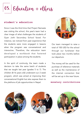05. Education + others

#### **student's education**

Since it was the third time that Project Namaste was visiting the school, this year's team had a clear image of what challenges the students of Gyan Jothi Secondary School faced. For instance, we noticed from past experience that the students were more engaged in lessons when the program was conversational and interactive. Therefore, the education team developed a workbook that fostered participation in place among the students.

In the spirit of continuity, the team made a decision to take the same batch of students that we taught last year (grades 5 to 7). The children (8-16 years old) underwent our 2 week program, which was aimed at improving their conversational English but also expose them to the plethora of job opportunities in Nepal. **monetary contributions**



Our team managed to raise a total of 100 USD for the school through our fundraiser that took place two months before our departure.

The money will be used for the purchase of reference materials as well as the maintenance of the internet connection that will be set up in the near future.





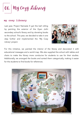06. My Cozy Library

#### **my cosy library**

Last year, Project Namaste X got the ball rolling by painting the exterior of the Gyan Jothi secondary school's library and by donating books to the school. This year, we decided to take it one step further and implemented the 'My Cozy Library' project.



For this initiative, we painted the interior of the library and decorated it with educational messages and a world map. We also supplied the school with tables and chairs to make the library more conducive for students to use for their studies. Additionally, we arranged the books and sorted them categorically, making it easier for the students to find books for references.

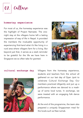07. Culture

#### **homestay experience**

For most of us, the homestay experience was the highlight of Project Namaste. The onenight stay at the villagers home left a lasting impression of way of life in Nepal. It provided the members the invaluable opportunity of experiencing first-hand what it's like living in a rural area where villagers farm for a living. But beyond just that, it serves as a stark reminder to be grateful for the life we have here in Singapore we so often take for granted.







**cultural exchange day** Villagers from the homestay experience, students and teachers from the school all gathered on our last day of Gyan Jyoti to celebrate Cultural Exchange Day. Our members practiced diligently and put up a performance where we danced to a mashup of some local tunes. In exchange, we were treated with an engaging folk dance performance.

> At the end of the programme, the team also prepared a uniquely Singaporean meal for the locals such as Nasi Lemak.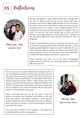08. Reflections



**Chailyn Ong** Logistics Team

Having participated in other OCSPs previously, I thought that this trip to Nepal would be just as the others had been. However, I was wrong. Nepal really shocked me with its beauty from the moment we arrived and it is really a country so pure, untouched and rich in culture. I found myself touched by the hospitality of the locals and how they were so excited to have us there. It struck me that these people had so little, yet they wanted to give their guests as much as they could - contrary to the sometimes selfish and aloof attitude of people we see in Singapore.

Overall, I would definitely say that I have learnt and grown a lot as a person throughout the course of Project Namaste. I found myself appreciating little things more and I realize that life is so much more than what we possess but what is more important is how we choose to live it. It would be so much more meaningful to lead a life with purpose and drive for a good cause.

Project Namaste has been one of the most unforgettable experiences of my life and I am immensely blessed to have been able to be part of it.

From one edition to another, Nepal hasn't changed much to me. The Nepalese still give more than they have and the kids still adore you because you inspire them that much and the landscape is still as breathtaking. The real beauty of the trip is knowing that you did your best to inspire these kids in any way you could and knowing that you forged a friendship of a lifetime. It's being able to remember the smiles of these kids that are edged in your mind and hoping that one day you'll be back to witness those smiles again.

When I look back and see how far I've come – from one edition to another, how I became more willing to care and share with others, I am beyond amazed. I came into the project thinking the kids would benefit a lot from our efforts, I have never been so wrong in my entire life because I received way more than I gave.

From the kids in school to the homestay, I will always be humbled by their warmth and hospitality.



**Chloe Tan** Sponsorship Team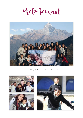Photo Journal



The Project Namaste XI team